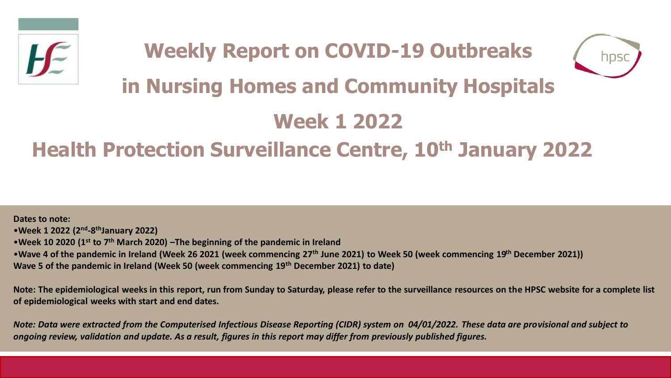



# **in Nursing Homes and Community Hospitals**

# **Week 1 2022**

## **Health Protection Surveillance Centre, 10th January 2022**

**Dates to note:** •**Week 1 2022 (2nd -8 thJanuary 2022)** •**Week 10 2020 (1st to 7th March 2020) –The beginning of the pandemic in Ireland**  •**Wave 4 of the pandemic in Ireland (Week 26 2021 (week commencing 27th June 2021) to Week 50 (week commencing 19th December 2021)) Wave 5 of the pandemic in Ireland (Week 50 (week commencing 19th December 2021) to date)**

**Note: The epidemiological weeks in this report, run from Sunday to Saturday, please refer to the surveillance resources on the HPSC website for a complete list of epidemiological weeks with start and end dates.**

*Note: Data were extracted from the Computerised Infectious Disease Reporting (CIDR) system on 04/01/2022. These data are provisional and subject to ongoing review, validation and update. As a result, figures in this report may differ from previously published figures.*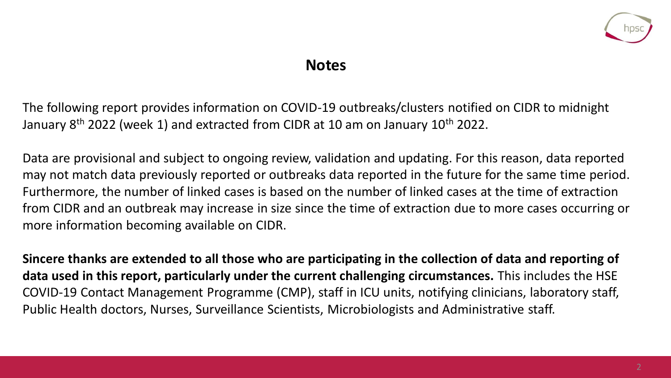

### **Notes**

The following report provides information on COVID-19 outbreaks/clusters notified on CIDR to midnight January 8<sup>th</sup> 2022 (week 1) and extracted from CIDR at 10 am on January 10<sup>th</sup> 2022.

Data are provisional and subject to ongoing review, validation and updating. For this reason, data reported may not match data previously reported or outbreaks data reported in the future for the same time period. Furthermore, the number of linked cases is based on the number of linked cases at the time of extraction from CIDR and an outbreak may increase in size since the time of extraction due to more cases occurring or more information becoming available on CIDR.

**Sincere thanks are extended to all those who are participating in the collection of data and reporting of data used in this report, particularly under the current challenging circumstances.** This includes the HSE COVID-19 Contact Management Programme (CMP), staff in ICU units, notifying clinicians, laboratory staff, Public Health doctors, Nurses, Surveillance Scientists, Microbiologists and Administrative staff.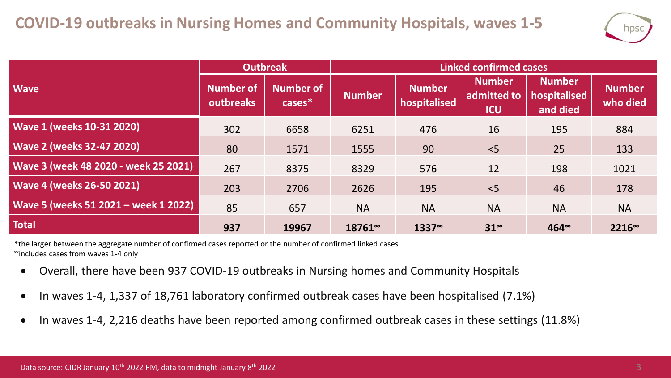

|                                      | <b>Outbreak</b>                      |                            | <b>Linked confirmed cases</b> |                               |                                            |                                           |                           |  |
|--------------------------------------|--------------------------------------|----------------------------|-------------------------------|-------------------------------|--------------------------------------------|-------------------------------------------|---------------------------|--|
| <b>Wave</b>                          | <b>Number of</b><br><b>outbreaks</b> | <b>Number of</b><br>cases* | <b>Number</b>                 | <b>Number</b><br>hospitalised | <b>Number</b><br>admitted to<br><b>ICU</b> | <b>Number</b><br>hospitalised<br>and died | <b>Number</b><br>who died |  |
| <b>Wave 1 (weeks 10-31 2020)</b>     | 302                                  | 6658                       | 6251                          | 476                           | 16                                         | 195                                       | 884                       |  |
| <b>Wave 2 (weeks 32-47 2020)</b>     | 80                                   | 1571                       | 1555                          | 90                            | < 5                                        | 25                                        | 133                       |  |
| Wave 3 (week 48 2020 - week 25 2021) | 267                                  | 8375                       | 8329                          | 576                           | 12                                         | 198                                       | 1021                      |  |
| <b>Wave 4 (weeks 26-50 2021)</b>     | 203                                  | 2706                       | 2626                          | 195                           | < 5                                        | 46                                        | 178                       |  |
| Wave 5 (weeks 51 2021 - week 1 2022) | 85                                   | 657                        | <b>NA</b>                     | <b>NA</b>                     | <b>NA</b>                                  | <b>NA</b>                                 | <b>NA</b>                 |  |
| <b>Total</b>                         | 937                                  | 19967                      | 18761~                        | $1337^\circ$                  | $31^{\circ}$                               | $464^{\circ}$                             | 2216 <sup>∞</sup>         |  |

\*the larger between the aggregate number of confirmed cases reported or the number of confirmed linked cases <sup>∞</sup>includes cases from waves 1-4 only

- Overall, there have been 937 COVID-19 outbreaks in Nursing homes and Community Hospitals
- In waves 1-4, 1,337 of 18,761 laboratory confirmed outbreak cases have been hospitalised (7.1%)
- In waves 1-4, 2,216 deaths have been reported among confirmed outbreak cases in these settings (11.8%)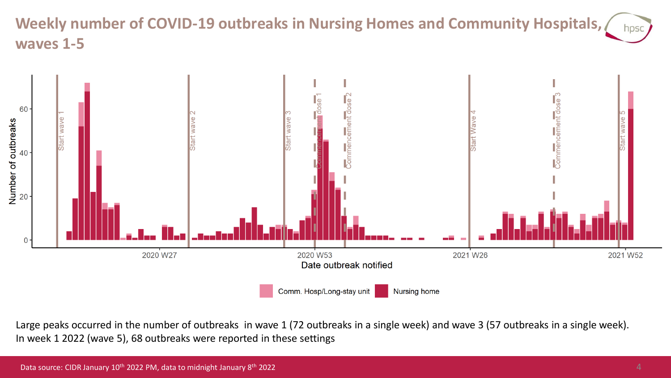### **Weekly number of COVID-19 outbreaks in Nursing Homes and Community Hospitals, waves 1-5**



Large peaks occurred in the number of outbreaks in wave 1 (72 outbreaks in a single week) and wave 3 (57 outbreaks in a single week). In week 1 2022 (wave 5), 68 outbreaks were reported in these settings

hpsc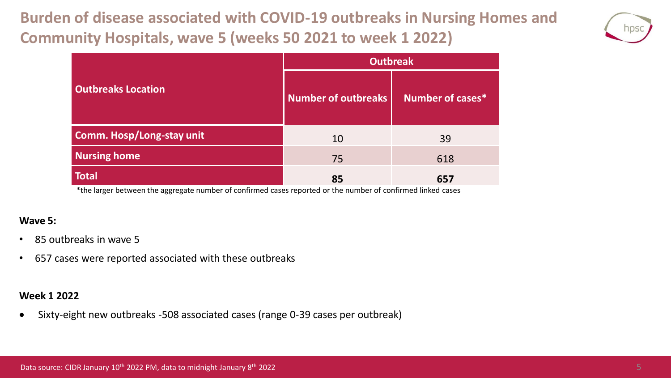## **Burden of disease associated with COVID-19 outbreaks in Nursing Homes and Community Hospitals, wave 5 (weeks 50 2021 to week 1 2022)**



|                                                                                                                                                                                                                                                          | <b>Outbreak</b>                                           |                  |  |  |  |
|----------------------------------------------------------------------------------------------------------------------------------------------------------------------------------------------------------------------------------------------------------|-----------------------------------------------------------|------------------|--|--|--|
| <b>Outbreaks Location</b>                                                                                                                                                                                                                                | <b>Number of outbreaks</b>                                | Number of cases* |  |  |  |
| <b>Comm. Hosp/Long-stay unit</b>                                                                                                                                                                                                                         | 10                                                        | 39               |  |  |  |
| <b>Nursing home</b>                                                                                                                                                                                                                                      | 75                                                        | 618              |  |  |  |
| <b>Total</b><br>$\mathbf{d}_{\mathbf{r}}$ , and the contract of the contract of the contract of the contract of the contract of the contract of the contract of the contract of the contract of the contract of the contract of the contract of the cont | 85<br>$\mathbf{r}$ and $\mathbf{r}$ and $\mathbf{r}$<br>. | 657<br>.         |  |  |  |

\*the larger between the aggregate number of confirmed cases reported or the number of confirmed linked cases

#### **Wave 5:**

- 85 outbreaks in wave 5
- 657 cases were reported associated with these outbreaks

#### **Week 1 2022**

• Sixty-eight new outbreaks -508 associated cases (range 0-39 cases per outbreak)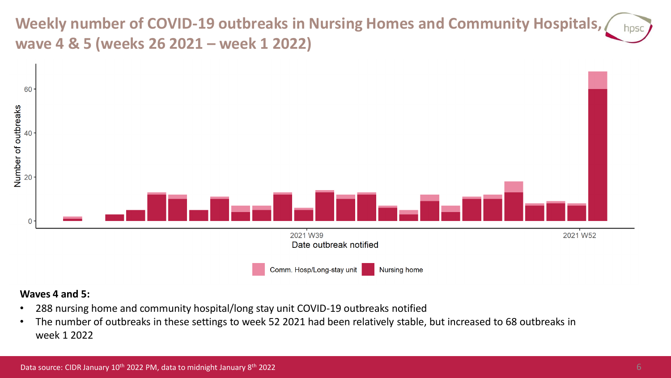**Weekly number of COVID-19 outbreaks in Nursing Homes and Community Hospitals,**  hpsc **wave 4 & 5 (weeks 26 2021 – week 1 2022)**



#### **Waves 4 and 5:**

- 288 nursing home and community hospital/long stay unit COVID-19 outbreaks notified
- The number of outbreaks in these settings to week 52 2021 had been relatively stable, but increased to 68 outbreaks in week 1 2022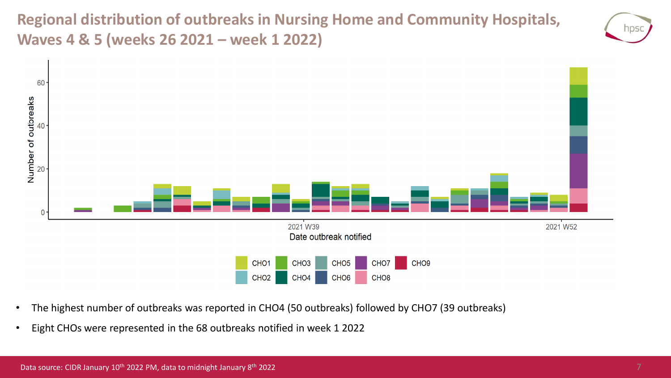**Regional distribution of outbreaks in Nursing Home and Community Hospitals, Waves 4 & 5 (weeks 26 2021 – week 1 2022)**



- The highest number of outbreaks was reported in CHO4 (50 outbreaks) followed by CHO7 (39 outbreaks)
- Eight CHOs were represented in the 68 outbreaks notified in week 1 2022

NDS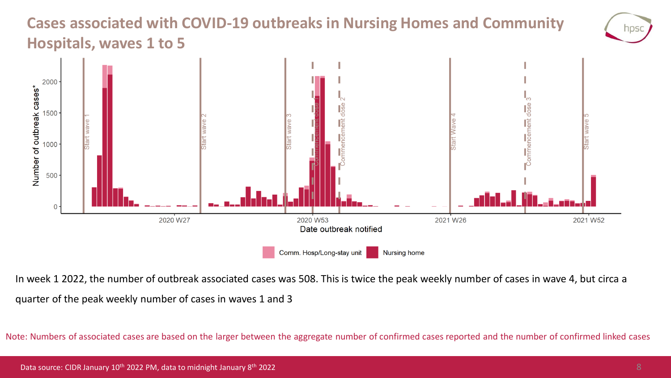### **Cases associated with COVID-19 outbreaks in Nursing Homes and Community Hospitals, waves 1 to 5**



In week 1 2022, the number of outbreak associated cases was 508. This is twice the peak weekly number of cases in wave 4, but circa a quarter of the peak weekly number of cases in waves 1 and 3

Note: Numbers of associated cases are based on the larger between the aggregate number of confirmed cases reported and the number of confirmed linked cases

hps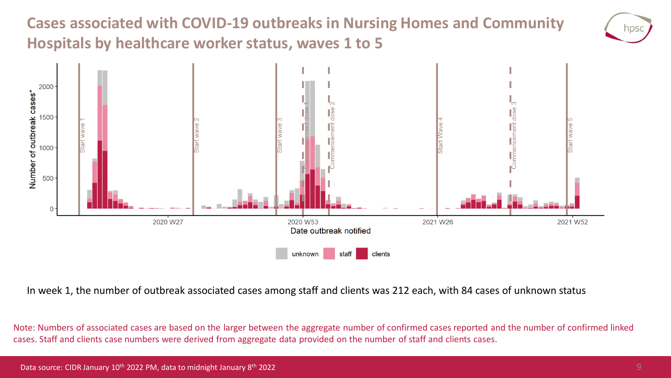## **Cases associated with COVID-19 outbreaks in Nursing Homes and Community Hospitals by healthcare worker status, waves 1 to 5**





In week 1, the number of outbreak associated cases among staff and clients was 212 each, with 84 cases of unknown status

Note: Numbers of associated cases are based on the larger between the aggregate number of confirmed cases reported and the number of confirmed linked cases. Staff and clients case numbers were derived from aggregate data provided on the number of staff and clients cases.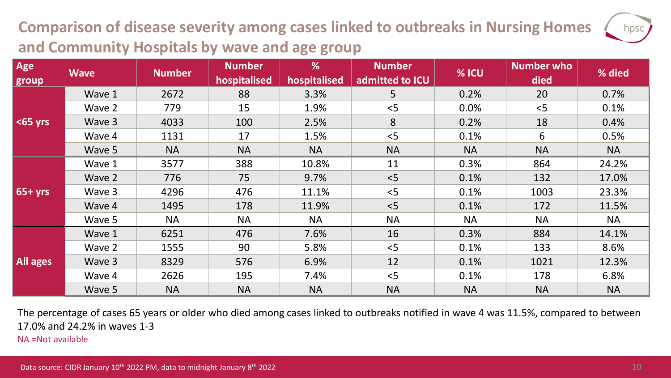## **Comparison of disease severity among cases linked to outbreaks in Nursing Homes and Community Hospitals by wave and age group**

| Age             | <b>Wave</b> | <b>Number</b> | <b>Number</b><br>hospitalised | %<br>hospitalised | <b>Number</b><br>admitted to ICU | % ICU     | <b>Number who</b><br>died | % died    |
|-----------------|-------------|---------------|-------------------------------|-------------------|----------------------------------|-----------|---------------------------|-----------|
| group           |             |               |                               |                   |                                  |           |                           |           |
| $<$ 65 yrs      | Wave 1      | 2672          | 88                            | 3.3%              | 5 <sup>1</sup>                   | 0.2%      | 20                        | 0.7%      |
|                 | Wave 2      | 779           | 15                            | 1.9%              | < 5                              | 0.0%      | < 5                       | 0.1%      |
|                 | Wave 3      | 4033          | 100                           | 2.5%              | 8                                | 0.2%      | 18                        | 0.4%      |
|                 | Wave 4      | 1131          | 17                            | 1.5%              | < 5                              | 0.1%      | 6                         | 0.5%      |
|                 | Wave 5      | <b>NA</b>     | <b>NA</b>                     | <b>NA</b>         | <b>NA</b>                        | <b>NA</b> | <b>NA</b>                 | <b>NA</b> |
| $65+yrs$        | Wave 1      | 3577          | 388                           | 10.8%             | 11                               | 0.3%      | 864                       | 24.2%     |
|                 | Wave 2      | 776           | 75                            | 9.7%              | < 5                              | 0.1%      | 132                       | 17.0%     |
|                 | Wave 3      | 4296          | 476                           | 11.1%             | < 5                              | 0.1%      | 1003                      | 23.3%     |
|                 | Wave 4      | 1495          | 178                           | 11.9%             | < 5                              | 0.1%      | 172                       | 11.5%     |
|                 | Wave 5      | <b>NA</b>     | <b>NA</b>                     | <b>NA</b>         | <b>NA</b>                        | <b>NA</b> | <b>NA</b>                 | <b>NA</b> |
| <b>All ages</b> | Wave 1      | 6251          | 476                           | 7.6%              | 16                               | 0.3%      | 884                       | 14.1%     |
|                 | Wave 2      | 1555          | 90                            | 5.8%              | < 5                              | 0.1%      | 133                       | 8.6%      |
|                 | Wave 3      | 8329          | 576                           | 6.9%              | 12                               | 0.1%      | 1021                      | 12.3%     |
|                 | Wave 4      | 2626          | 195                           | 7.4%              | < 5                              | 0.1%      | 178                       | 6.8%      |
|                 | Wave 5      | <b>NA</b>     | <b>NA</b>                     | <b>NA</b>         | <b>NA</b>                        | <b>NA</b> | <b>NA</b>                 | <b>NA</b> |

The percentage of cases 65 years or older who died among cases linked to outbreaks notified in wave 4 was 11.5%, compared to between 17.0% and 24.2% in waves 1-3

NA =Not available

hpsc